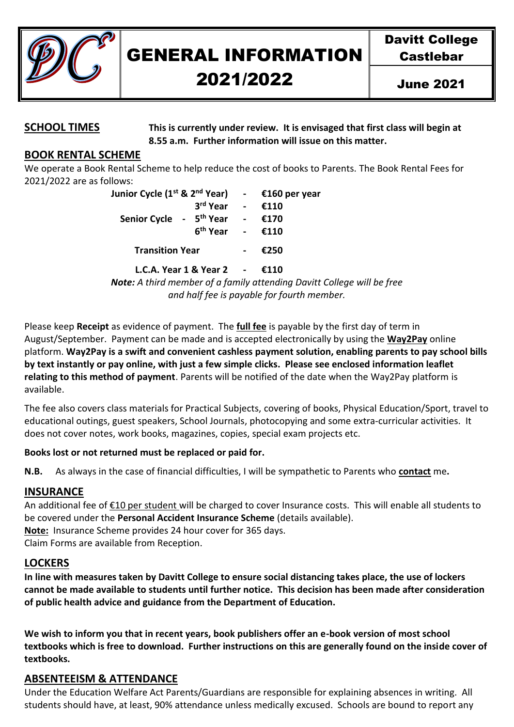

# GENERAL INFORMATION

## 2021/2022

**SCHOOL TIMES This is currently under review. It is envisaged that first class will begin at 8.55 a.m. Further information will issue on this matter.**

#### **BOOK RENTAL SCHEME**

We operate a Book Rental Scheme to help reduce the cost of books to Parents. The Book Rental Fees for 2021/2022 are as follows:

| Junior Cycle (1 <sup>st</sup> & 2 <sup>nd</sup> Year) |                      | €160 per year |
|-------------------------------------------------------|----------------------|---------------|
| Senior Cycle - 5 <sup>th</sup> Year                   | 3rd Year             | €110          |
|                                                       |                      | €170          |
|                                                       | 6 <sup>th</sup> Year | €110          |
| <b>Transition Year</b>                                |                      | €250          |
|                                                       |                      |               |

**L.C.A. Year 1 & Year 2 - €110**

*Note: A third member of a family attending Davitt College will be free and half fee is payable for fourth member.*

Please keep **Receipt** as evidence of payment. The **full fee** is payable by the first day of term in August/September. Payment can be made and is accepted electronically by using the **Way2Pay** online platform. **Way2Pay is a swift and convenient cashless payment solution, enabling parents to pay school bills by text instantly or pay online, with just a few simple clicks. Please see enclosed information leaflet relating to this method of payment**. Parents will be notified of the date when the Way2Pay platform is available.

The fee also covers class materials for Practical Subjects, covering of books, Physical Education/Sport, travel to educational outings, guest speakers, School Journals, photocopying and some extra-curricular activities. It does not cover notes, work books, magazines, copies, special exam projects etc.

#### **Books lost or not returned must be replaced or paid for.**

**N.B.** As always in the case of financial difficulties, I will be sympathetic to Parents who **contact** me**.**

#### **INSURANCE**

An additional fee of €10 per student will be charged to cover Insurance costs. This will enable all students to be covered under the **Personal Accident Insurance Scheme** (details available).

**Note:** Insurance Scheme provides 24 hour cover for 365 days.

Claim Forms are available from Reception.

#### **LOCKERS**

**In line with measures taken by Davitt College to ensure social distancing takes place, the use of lockers cannot be made available to students until further notice. This decision has been made after consideration of public health advice and guidance from the Department of Education.** 

**We wish to inform you that in recent years, book publishers offer an e-book version of most school textbooks which is free to download. Further instructions on this are generally found on the inside cover of textbooks.** 

#### **ABSENTEEISM & ATTENDANCE**

Under the Education Welfare Act Parents/Guardians are responsible for explaining absences in writing. All students should have, at least, 90% attendance unless medically excused. Schools are bound to report any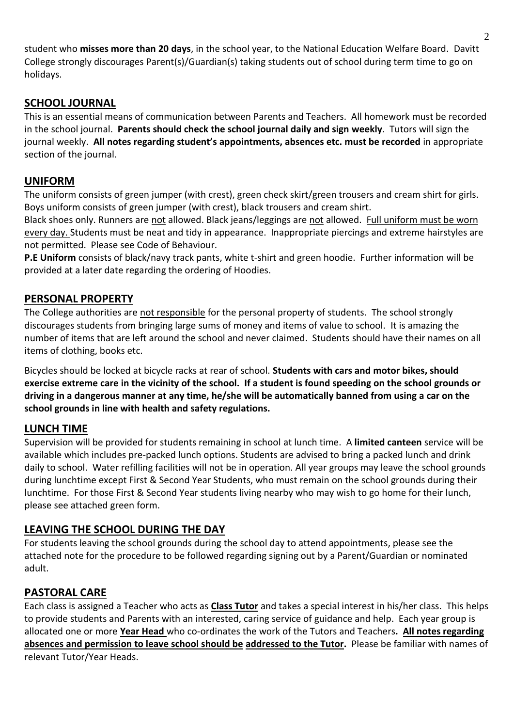student who **misses more than 20 days**, in the school year, to the National Education Welfare Board. Davitt College strongly discourages Parent(s)/Guardian(s) taking students out of school during term time to go on holidays.

#### **SCHOOL JOURNAL**

This is an essential means of communication between Parents and Teachers. All homework must be recorded in the school journal. **Parents should check the school journal daily and sign weekly**. Tutors will sign the journal weekly. **All notes regarding student's appointments, absences etc. must be recorded** in appropriate section of the journal.

#### **UNIFORM**

The uniform consists of green jumper (with crest), green check skirt/green trousers and cream shirt for girls. Boys uniform consists of green jumper (with crest), black trousers and cream shirt.

Black shoes only. Runners are not allowed. Black jeans/leggings are not allowed. Full uniform must be worn every day. Students must be neat and tidy in appearance. Inappropriate piercings and extreme hairstyles are not permitted. Please see Code of Behaviour.

**P.E Uniform** consists of black/navy track pants, white t-shirt and green hoodie. Further information will be provided at a later date regarding the ordering of Hoodies.

#### **PERSONAL PROPERTY**

The College authorities are not responsible for the personal property of students. The school strongly discourages students from bringing large sums of money and items of value to school. It is amazing the number of items that are left around the school and never claimed. Students should have their names on all items of clothing, books etc.

Bicycles should be locked at bicycle racks at rear of school. **Students with cars and motor bikes, should exercise extreme care in the vicinity of the school. If a student is found speeding on the school grounds or driving in a dangerous manner at any time, he/she will be automatically banned from using a car on the school grounds in line with health and safety regulations.**

#### **LUNCH TIME**

Supervision will be provided for students remaining in school at lunch time. A **limited canteen** service will be available which includes pre-packed lunch options. Students are advised to bring a packed lunch and drink daily to school. Water refilling facilities will not be in operation. All year groups may leave the school grounds during lunchtime except First & Second Year Students, who must remain on the school grounds during their lunchtime. For those First & Second Year students living nearby who may wish to go home for their lunch, please see attached green form.

#### **LEAVING THE SCHOOL DURING THE DAY**

For students leaving the school grounds during the school day to attend appointments, please see the attached note for the procedure to be followed regarding signing out by a Parent/Guardian or nominated adult.

#### **PASTORAL CARE**

Each class is assigned a Teacher who acts as **Class Tutor** and takes a special interest in his/her class. This helps to provide students and Parents with an interested, caring service of guidance and help. Each year group is allocated one or more **Year Head** who co-ordinates the work of the Tutors and Teachers**. All notes regarding absences and permission to leave school should be addressed to the Tutor.** Please be familiar with names of relevant Tutor/Year Heads.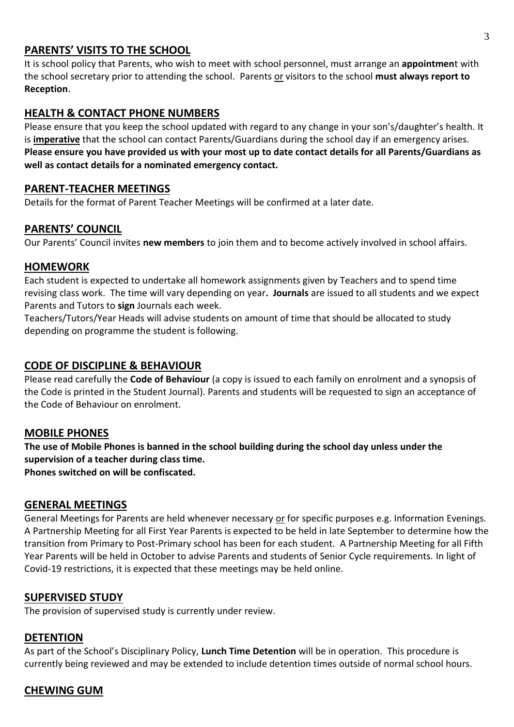#### **PARENTS' VISITS TO THE SCHOOL**

It is school policy that Parents, who wish to meet with school personnel, must arrange an **appointmen**t with the school secretary prior to attending the school. Parents or visitors to the school **must always report to Reception**.

#### **HEALTH & CONTACT PHONE NUMBERS**

Please ensure that you keep the school updated with regard to any change in your son's/daughter's health. It is **imperative** that the school can contact Parents/Guardians during the school day if an emergency arises. **Please ensure you have provided us with your most up to date contact details for all Parents/Guardians as well as contact details for a nominated emergency contact.** 

#### **PARENT-TEACHER MEETINGS**

Details for the format of Parent Teacher Meetings will be confirmed at a later date.

#### **PARENTS' COUNCIL**

Our Parents' Council invites **new members** to join them and to become actively involved in school affairs.

#### **HOMEWORK**

Each student is expected to undertake all homework assignments given by Teachers and to spend time revising class work. The time will vary depending on year**. Journals** are issued to all students and we expect Parents and Tutors to **sign** Journals each week.

Teachers/Tutors/Year Heads will advise students on amount of time that should be allocated to study depending on programme the student is following.

#### **CODE OF DISCIPLINE & BEHAVIOUR**

Please read carefully the **Code of Behaviour** (a copy is issued to each family on enrolment and a synopsis of the Code is printed in the Student Journal). Parents and students will be requested to sign an acceptance of the Code of Behaviour on enrolment.

#### **MOBILE PHONES**

**The use of Mobile Phones is banned in the school building during the school day unless under the supervision of a teacher during class time. Phones switched on will be confiscated.**

#### **GENERAL MEETINGS**

General Meetings for Parents are held whenever necessary or for specific purposes e.g. Information Evenings. A Partnership Meeting for all First Year Parents is expected to be held in late September to determine how the transition from Primary to Post-Primary school has been for each student. A Partnership Meeting for all Fifth Year Parents will be held in October to advise Parents and students of Senior Cycle requirements. In light of Covid-19 restrictions, it is expected that these meetings may be held online.

#### **SUPERVISED STUDY**

The provision of supervised study is currently under review.

#### **DETENTION**

As part of the School's Disciplinary Policy, **Lunch Time Detention** will be in operation. This procedure is currently being reviewed and may be extended to include detention times outside of normal school hours.

### **CHEWING GUM**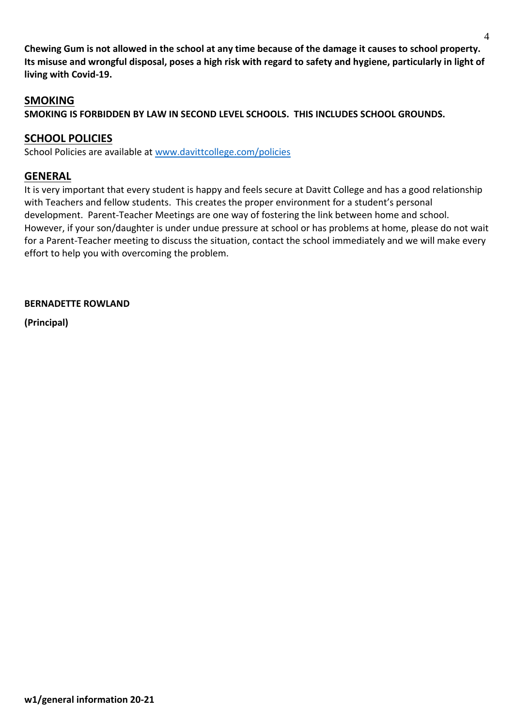**Chewing Gum is not allowed in the school at any time because of the damage it causes to school property. Its misuse and wrongful disposal, poses a high risk with regard to safety and hygiene, particularly in light of living with Covid-19.** 

#### **SMOKING**

**SMOKING IS FORBIDDEN BY LAW IN SECOND LEVEL SCHOOLS. THIS INCLUDES SCHOOL GROUNDS.**

#### **SCHOOL POLICIES**

School Policies are available at [www.davittcollege.com/policies](http://www.davittcollege.com/policies)

#### **GENERAL**

It is very important that every student is happy and feels secure at Davitt College and has a good relationship with Teachers and fellow students. This creates the proper environment for a student's personal development. Parent-Teacher Meetings are one way of fostering the link between home and school. However, if your son/daughter is under undue pressure at school or has problems at home, please do not wait for a Parent-Teacher meeting to discuss the situation, contact the school immediately and we will make every effort to help you with overcoming the problem.

**BERNADETTE ROWLAND**

**(Principal)**